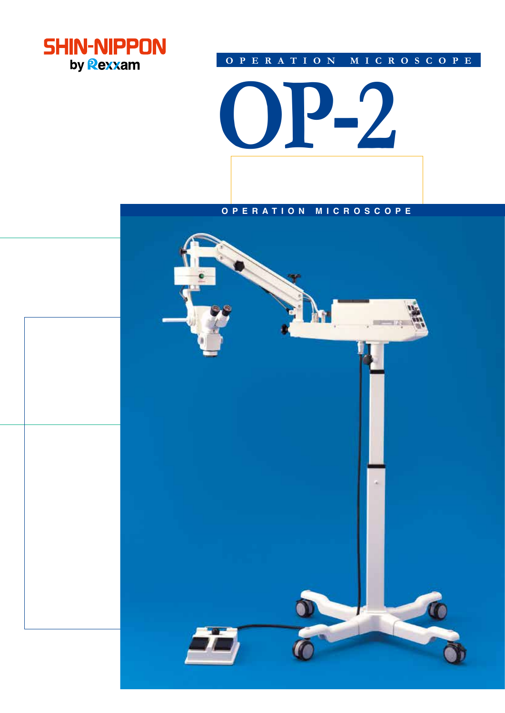

# **OPERATION MICROSCOPE**

**OP-2**

# **OPERATION MICROSCOPE**